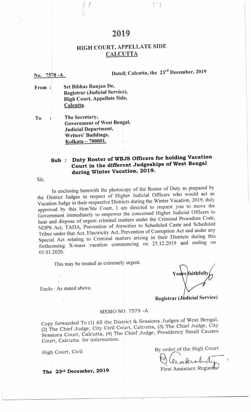# 2019

# **HIGH COURT, APPELLATE SIDE CALCUTTA**

# Dated, Calcutta, the 23rd December, 2019

pa,

Sri Bibhas Ranjan De, From: Registrar (Judicial Service), High Court, Appellate Side, Calcutta.

The Secretary, To Government of West Bengal, **Judicial Department,** Writers' Buildings, Kolkata - 700001.

# Sub: Duty Roster of WBJS Officers for holding Vacation Court in the different Judgeships of West Bengal during Winter Vacation, 2019.

Sir.

No. 7578 - A

In enclosing herewith the photocopy of the Roster of Duty as prepared by the District Judges in respect of Higher Judicial Officers who would act as Vacation Judge in their respective Districts during the Winter Vacation, 2019, duly approved by this Hon'ble Court, I am directed to request you to move the Government immediately to empower the concerned Higher Judicial Officers to hear and dispose of urgent criminal matters under the Criminal Procedure Code, NDPS Act, TADA, Prevention of Atrocities to Scheduled Caste and Scheduled Tribes under that Act, Electricity Act, Prevention of Corruption Act and under any Special Act relating to Criminal matters arising in their Districts during this forthcoming X-mass vacation commencing on 25.12.2019 and ending on 01.01.2020.

This may be treated as extremely urgent.

Enclo: As stated above.

Yours faithfull

**Registrar (Judicial Service)** 

## MEMO NO. 7579-A

Copy forwarded To (1) All the District & Sessions Judges of West Bengal, (2) The Chief Judge, City Civil Court, Calcutta, (3) The Chief Judge, City Sessions Court, Calcutta, (4) The Chief Judge, Presidency Small Causes Court, Calcutta for information.

High Court, Civil

By order of the High Court

I Cecilerabel

**First Assistant Registral** 

The 23rd December, 2019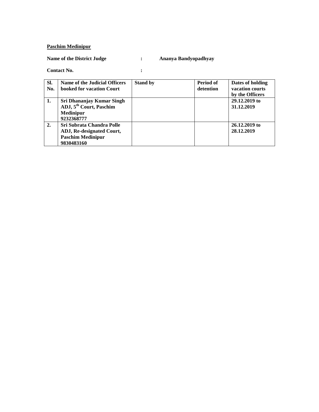### **Paschim Medinipur**

### **Name of the District Judge : Ananya Bandyopadhyay**

| ٠      |  |
|--------|--|
| $\sim$ |  |
|        |  |

| SI.<br>No. | Name of the Judicial Officers<br>booked for vacation Court                                         | <b>Stand by</b> | Period of<br>detention | Dates of holding<br>vacation courts<br>by the Officers |
|------------|----------------------------------------------------------------------------------------------------|-----------------|------------------------|--------------------------------------------------------|
| 1.         | Sri Dhananjay Kumar Singh<br>ADJ, 5 <sup>th</sup> Court, Paschim<br><b>Medinipur</b><br>9232368777 |                 |                        | 29.12.2019 to<br>31.12.2019                            |
| 2.         | Sri Subrata Chandra Polle<br>ADJ, Re-designated Court,<br><b>Paschim Medinipur</b><br>9830483160   |                 |                        | 26.12.2019 to<br>28.12.2019                            |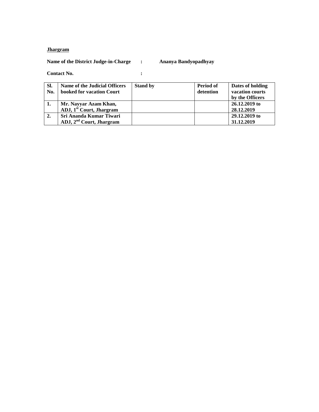## **Jhargram**

**Name of the District Judge-in-Charge : Ananya Bandyopadhyay**

| SI.<br>No. | Name of the Judicial Officers<br>booked for vacation Court | <b>Stand by</b> | Period of<br>detention | Dates of holding<br>vacation courts<br>by the Officers |
|------------|------------------------------------------------------------|-----------------|------------------------|--------------------------------------------------------|
|            | Mr. Nayyar Azam Khan,                                      |                 |                        | 26.12.2019 to                                          |
|            | ADJ, 1 <sup>st</sup> Court, Jhargram                       |                 |                        | 28.12.2019                                             |
| 2.         | Sri Ananda Kumar Tiwari                                    |                 |                        | 29.12.2019 to                                          |
|            | ADJ, 2 <sup>nd</sup> Court, Jhargram                       |                 |                        | 31.12.2019                                             |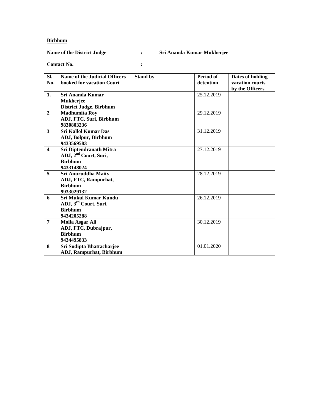### **Birbhum**

## **Name of the District Judge : Sri Ananda Kumar Mukherjee**

| SI.                   | <b>Name of the Judicial Officers</b> | <b>Stand by</b> | Period of  | Dates of holding |
|-----------------------|--------------------------------------|-----------------|------------|------------------|
| No.                   | booked for vacation Court            |                 | detention  | vacation courts  |
|                       |                                      |                 |            | by the Officers  |
| 1.                    | Sri Ananda Kumar                     |                 | 25.12.2019 |                  |
|                       | <b>Mukherjee</b>                     |                 |            |                  |
|                       | <b>District Judge, Birbhum</b>       |                 |            |                  |
| $\overline{2}$        | <b>Madhumita Roy</b>                 |                 | 29.12.2019 |                  |
|                       | ADJ, FTC, Suri, Birbhum              |                 |            |                  |
|                       | 9830803236                           |                 |            |                  |
| 3                     | <b>Sri Kallol Kumar Das</b>          |                 | 31.12.2019 |                  |
|                       | ADJ, Bolpur, Birbhum                 |                 |            |                  |
|                       | 9433569583                           |                 |            |                  |
| $\boldsymbol{\Delta}$ | Sri Diptendranath Mitra              |                 | 27.12.2019 |                  |
|                       | ADJ, 2 <sup>nd</sup> Court, Suri,    |                 |            |                  |
|                       | <b>Birbhum</b>                       |                 |            |                  |
|                       | 9433148024                           |                 |            |                  |
| 5                     | <b>Sri Anuruddha Maity</b>           |                 | 28.12.2019 |                  |
|                       | ADJ, FTC, Rampurhat,                 |                 |            |                  |
|                       | <b>Birbhum</b>                       |                 |            |                  |
|                       | 9933029132                           |                 |            |                  |
| 6                     | <b>Sri Mukul Kumar Kundu</b>         |                 | 26.12.2019 |                  |
|                       | ADJ, 3 <sup>rd</sup> Court, Suri,    |                 |            |                  |
|                       | <b>Birbhum</b>                       |                 |            |                  |
|                       | 9434205288                           |                 |            |                  |
| $\overline{7}$        | Molla Asgar Ali                      |                 | 30.12.2019 |                  |
|                       | ADJ, FTC, Dubrajpur,                 |                 |            |                  |
|                       | <b>Birbhum</b>                       |                 |            |                  |
|                       | 9434495833                           |                 |            |                  |
| 8                     | Sri Sudipta Bhattacharjee            |                 | 01.01.2020 |                  |
|                       | <b>ADJ, Rampurhat, Birbhum</b>       |                 |            |                  |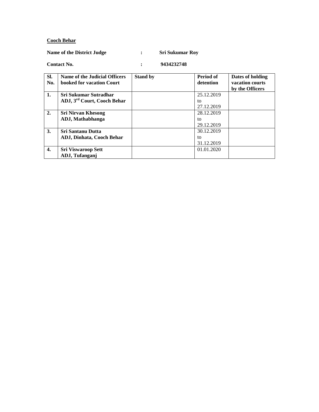### **Cooch Behar**

### **Name of the District Judge : Sri Sukumar Roy**

| SI.          | Name of the Judicial Officers           | <b>Stand by</b> | <b>Period of</b> | Dates of holding |
|--------------|-----------------------------------------|-----------------|------------------|------------------|
| No.          | booked for vacation Court               |                 | detention        | vacation courts  |
|              |                                         |                 |                  | by the Officers  |
| 1.           | Sri Sukumar Sutradhar                   |                 | 25.12.2019       |                  |
|              | ADJ, 3 <sup>rd</sup> Court, Cooch Behar |                 | tΩ               |                  |
|              |                                         |                 | 27.12.2019       |                  |
| 2.           | <b>Sri Nirvan Khesong</b>               |                 | 28.12.2019       |                  |
|              | ADJ, Mathabhanga                        |                 | to               |                  |
|              |                                         |                 | 29.12.2019       |                  |
| 3.           | <b>Sri Santanu Dutta</b>                |                 | 30.12.2019       |                  |
|              | <b>ADJ, Dinhata, Cooch Behar</b>        |                 | to               |                  |
|              |                                         |                 | 31.12.2019       |                  |
| $\mathbf{4}$ | <b>Sri Viswaroop Sett</b>               |                 | 01.01.2020       |                  |
|              | ADJ, Tufanganj                          |                 |                  |                  |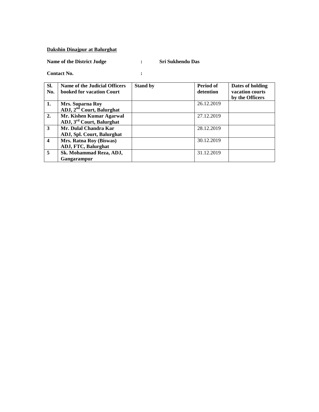## **Dakshin Dinajpur at Balurghat**

**Name of the District Judge : Sri Sukhendu Das**

| SI.<br>No.              | Name of the Judicial Officers<br>booked for vacation Court | <b>Stand by</b> | Period of<br>detention | Dates of holding<br>vacation courts |
|-------------------------|------------------------------------------------------------|-----------------|------------------------|-------------------------------------|
|                         |                                                            |                 |                        | by the Officers                     |
| 1.                      | Mrs. Suparna Roy                                           |                 | 26.12.2019             |                                     |
|                         | ADJ, 2 <sup>nd</sup> Court, Balurghat                      |                 |                        |                                     |
| 2.                      | Mr. Kishen Kumar Agarwal                                   |                 | 27.12.2019             |                                     |
|                         | ADJ, 3 <sup>rd</sup> Court, Balurghat                      |                 |                        |                                     |
| 3                       | Mr. Dulal Chandra Kar                                      |                 | 28.12.2019             |                                     |
|                         | ADJ, Spl. Court, Balurghat                                 |                 |                        |                                     |
| $\overline{\mathbf{4}}$ | Mrs. Ratna Roy (Biswas)                                    |                 | 30.12.2019             |                                     |
|                         | ADJ, FTC, Balurghat                                        |                 |                        |                                     |
| 5                       | Sk. Mohammad Reza, ADJ,                                    |                 | 31.12.2019             |                                     |
|                         | Gangarampur                                                |                 |                        |                                     |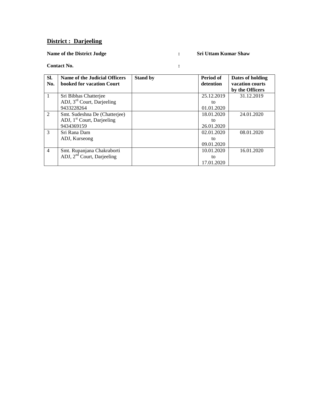## **District : Darjeeling**

### **Name of the District Judge : Sri Uttam Kumar Shaw**

| SI.<br>No.     | Name of the Judicial Officers<br>booked for vacation Court | <b>Stand by</b> | Period of<br>detention | Dates of holding<br>vacation courts<br>by the Officers |
|----------------|------------------------------------------------------------|-----------------|------------------------|--------------------------------------------------------|
| $\mathbf{1}$   | Sri Bibhas Chatterjee                                      |                 | 25.12.2019             | 31.12.2019                                             |
|                | ADJ, $3rd$ Court, Darjeeling                               |                 | to                     |                                                        |
|                | 9433228264                                                 |                 | 01.01.2020             |                                                        |
| 2              | Smt. Sudeshna De (Chatterjee)                              |                 | 18.01.2020             | 24.01.2020                                             |
|                | ADJ, 1 <sup>st</sup> Court, Darjeeling                     |                 | to                     |                                                        |
|                | 9434369159                                                 |                 | 26.01.2020             |                                                        |
| $\mathcal{F}$  | Sri Rana Dam                                               |                 | 02.01.2020             | 08.01.2020                                             |
|                | ADJ, Kurseong                                              |                 | to                     |                                                        |
|                |                                                            |                 | 09.01.2020             |                                                        |
| $\overline{4}$ | Smt. Rupanjana Chakraborti                                 |                 | 10.01.2020             | 16.01.2020                                             |
|                | ADJ, $2nd$ Court, Darjeeling                               |                 | to                     |                                                        |
|                |                                                            |                 | 17.01.2020             |                                                        |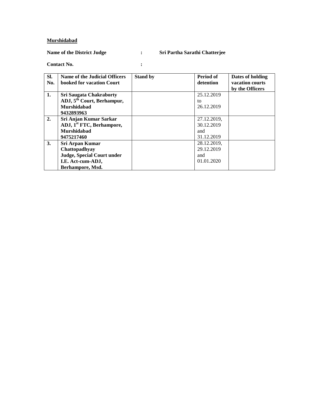#### **Murshidabad**

## **Name of the District Judge : Sri Partha Sarathi Chatterjee**

| SI.            | Name of the Judicial Officers          | <b>Stand by</b> | Period of   | Dates of holding |
|----------------|----------------------------------------|-----------------|-------------|------------------|
| No.            | booked for vacation Court              |                 | detention   | vacation courts  |
|                |                                        |                 |             | by the Officers  |
| $\mathbf{1}$ . | <b>Sri Saugata Chakraborty</b>         |                 | 25.12.2019  |                  |
|                | ADJ, 5 <sup>th</sup> Court, Berhampur, |                 | to          |                  |
|                | Murshidabad                            |                 | 26.12.2019  |                  |
|                | 9432893963                             |                 |             |                  |
| 2.             | Sri Anjan Kumar Sarkar                 |                 | 27.12.2019, |                  |
|                | ADJ, 1 <sup>st</sup> FTC, Berhampore,  |                 | 30.12.2019  |                  |
|                | Murshidabad                            |                 | and         |                  |
|                | 9475217460                             |                 | 31.12.2019  |                  |
| 3.             | Sri Arpan Kumar                        |                 | 28.12.2019, |                  |
|                | Chattopadhyay                          |                 | 29.12.2019  |                  |
|                | Judge, Special Court under             |                 | and         |                  |
|                | I.E. Act-cum-ADJ,                      |                 | 01.01.2020  |                  |
|                | Berhampore, Msd.                       |                 |             |                  |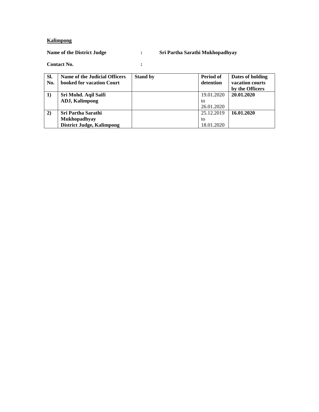### **Kalimpong**

## **Name of the District Judge : Sri Partha Sarathi Mukhopadhyay**

| SI.          | Name of the Judicial Officers    | <b>Stand by</b> | Period of  | Dates of holding |
|--------------|----------------------------------|-----------------|------------|------------------|
| No.          | booked for vacation Court        |                 | detention  | vacation courts  |
|              |                                  |                 |            | by the Officers  |
|              | Sri Mohd. Aqil Saifi             |                 | 19.01.2020 | 20.01.2020       |
|              | <b>ADJ, Kalimpong</b>            |                 | to         |                  |
|              |                                  |                 | 26.01.2020 |                  |
| $\mathbf{2}$ | <b>Sri Partha Sarathi</b>        |                 | 25.12.2019 | 16.01.2020       |
|              | <b>Mukhopadhyay</b>              |                 | to         |                  |
|              | <b>District Judge, Kalimpong</b> |                 | 18.01.2020 |                  |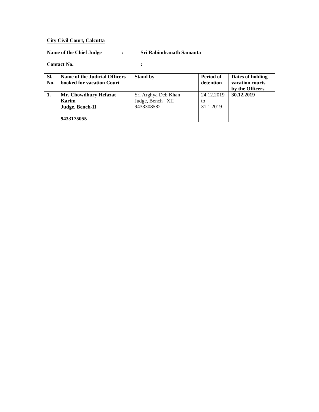#### **City Civil Court, Calcutta**

#### **Name of the Chief Judge : Sri Rabindranath Samanta**

#### **Contact No. :**

#### **Sl. No. Name of the Judicial Officers booked for vacation Court Stand by Period of detention Dates of holding vacation courts by the Officers 1. Mr. Chowdhury Hefazat Karim Judge, Bench-II 9433175055** Sri Arghya Deb Khan Judge, Bench –XII 9433308582 24.12.2019 to 31.1.2019 **30.12.2019**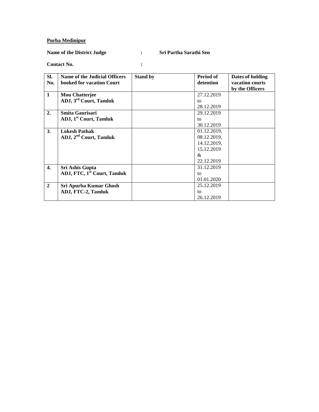#### **Purba Medinipur**

#### **Name of the District Judge : Sri Partha Sarathi Sen**

**Contact No. :** 

**Sl. No. Name of the Judicial Officers booked for vacation Court Stand by Period of detention Dates of holding vacation courts by the Officers 1 Mou Chatterjee ADJ, 3rd Court, Tamluk** 27.12.2019 to 28.12.2019 **2. Smita Gaurisari ADJ, 1st Court, Tamluk** 29.12.2019 to 30.12.2019 **3. Lokesh Pathak ADJ, 2nd Court, Tamluk** 01.12.2019, 08.12.2019, 14.12.2019, 15.12.2019 & 22.12.2019 **4. Sri Ashis Gupta ADJ, FTC, 1st Court, Tamluk** 31.12.2019 to 01.01.2020 **2 Sri Apurba Kumar Ghosh ADJ, FTC-2, Tamluk** 25.12.2019 to 26.12.2019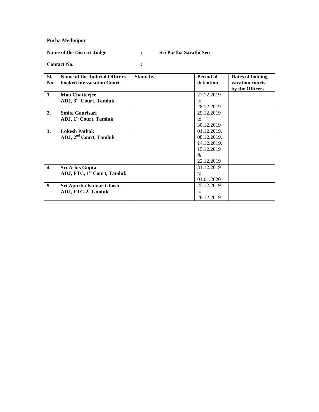#### **Purba Medinipur**

#### **Name of the District Judge : Sri Partha Sarathi Sen**

**Contact No. :** 

**Sl. No. Name of the Judicial Officers booked for vacation Court Stand by Period of detention Dates of holding vacation courts by the Officers 1 Mou Chatterjee ADJ, 3rd Court, Tamluk** 27.12.2019 to 28.12.2019 **2. Smita Gaurisari ADJ, 1st Court, Tamluk** 29.12.2019 to 30.12.2019 **3. Lokesh Pathak ADJ, 2nd Court, Tamluk** 01.12.2019, 08.12.2019, 14.12.2019, 15.12.2019 & 22.12.2019 **4. Sri Ashis Gupta ADJ, FTC, 1st Court, Tamluk** 31.12.2019 to 01.01.2020 **5 Sri Apurba Kumar Ghosh ADJ, FTC-2, Tamluk** 25.12.2019 to 26.12.2019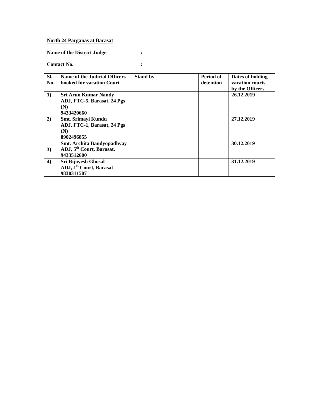### **North 24 Parganas at Barasat**

**Name of the District Judge :** 

| I |  |  |
|---|--|--|
|   |  |  |
|   |  |  |

| SI. | <b>Name of the Judicial Officers</b> | <b>Stand by</b> | Period of | Dates of holding |
|-----|--------------------------------------|-----------------|-----------|------------------|
| No. | booked for vacation Court            |                 | detention | vacation courts  |
|     |                                      |                 |           | by the Officers  |
| 1)  | <b>Sri Arun Kumar Nandy</b>          |                 |           | 26.12.2019       |
|     | ADJ, FTC-5, Barasat, 24 Pgs          |                 |           |                  |
|     | (N)                                  |                 |           |                  |
|     | 9433420660                           |                 |           |                  |
| 2)  | Smt. Srimayi Kundu                   |                 |           | 27.12.2019       |
|     | ADJ, FTC-1, Barasat, 24 Pgs          |                 |           |                  |
|     | (N)                                  |                 |           |                  |
|     | 8902496855                           |                 |           |                  |
|     | Smt. Archita Bandyopadhyay           |                 |           | 30.12.2019       |
| 3)  | ADJ, 5 <sup>th</sup> Court, Barasat, |                 |           |                  |
|     | 9433512600                           |                 |           |                  |
| 4)  | <b>Sri Bijoyesh Ghosal</b>           |                 |           | 31.12.2019       |
|     | ADJ, 1 <sup>st</sup> Court, Barasat  |                 |           |                  |
|     | 9830311507                           |                 |           |                  |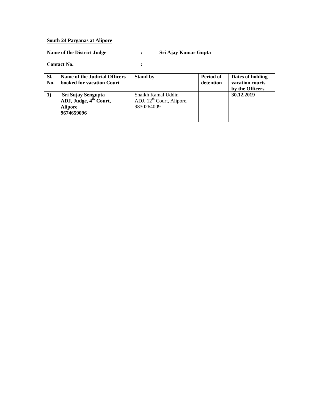### **South 24 Parganas at Alipore**

## **Name of the District Judge : Sri Ajay Kumar Gupta**

| SI. | Name of the Judicial Officers      | <b>Stand by</b>                | Period of | Dates of holding |
|-----|------------------------------------|--------------------------------|-----------|------------------|
| No. | booked for vacation Court          |                                | detention | vacation courts  |
|     |                                    |                                |           | by the Officers  |
|     | Sri Sujay Sengupta                 | Shaikh Kamal Uddin             |           | 30.12.2019       |
|     | ADJ, Judge, 4 <sup>th</sup> Court, | ADJ, $12^{th}$ Court, Alipore, |           |                  |
|     | <b>Alipore</b>                     | 9830264009                     |           |                  |
|     | 9674659096                         |                                |           |                  |
|     |                                    |                                |           |                  |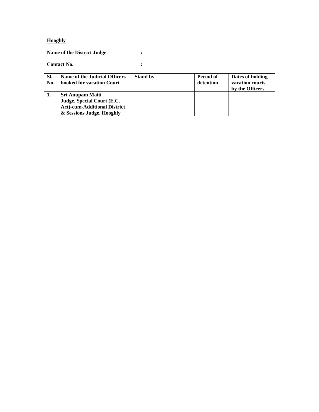### **Hooghly**

**Name of the District Judge :**

| SI.<br>No. | Name of the Judicial Officers<br>booked for vacation Court | <b>Stand by</b> | Period of<br>detention | Dates of holding<br>vacation courts<br>by the Officers |
|------------|------------------------------------------------------------|-----------------|------------------------|--------------------------------------------------------|
| -1.        | Sri Anupam Maiti                                           |                 |                        |                                                        |
|            | Judge, Special Court (E.C.                                 |                 |                        |                                                        |
|            | <b>Act)-cum-Additional District</b>                        |                 |                        |                                                        |
|            | & Sessions Judge, Hooghly                                  |                 |                        |                                                        |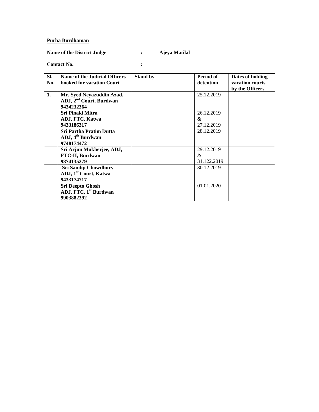#### **Purba Burdhaman**

## **Name of the District Judge : Ajeya Matilal**

| SI.<br>No. | Name of the Judicial Officers<br>booked for vacation Court                     | <b>Stand by</b> | Period of<br>detention            | Dates of holding<br>vacation courts<br>by the Officers |
|------------|--------------------------------------------------------------------------------|-----------------|-----------------------------------|--------------------------------------------------------|
| 1.         | Mr. Syed Neyazuddin Azad,<br>ADJ, 2 <sup>nd</sup> Court, Burdwan<br>9434232364 |                 | 25.12.2019                        |                                                        |
|            | Sri Pinaki Mitra<br>ADJ, FTC, Katwa<br>9433186317                              |                 | 26.12.2019<br>&<br>27.12.2019     |                                                        |
|            | <b>Sri Partha Pratim Dutta</b><br>ADJ, 4 <sup>th</sup> Burdwan<br>9748174472   |                 | 28.12.2019                        |                                                        |
|            | Sri Arjun Mukherjee, ADJ,<br><b>FTC-II, Burdwan</b><br>9874135279              |                 | 29.12.2019<br>$\&$<br>31.122.2019 |                                                        |
|            | <b>Sri Sandip Chowdhury</b><br>ADJ, 1 <sup>st</sup> Court, Katwa<br>9433174717 |                 | 30.12.2019                        |                                                        |
|            | <b>Sri Deepto Ghosh</b><br>ADJ, FTC, 1 <sup>st</sup> Burdwan<br>9903882392     |                 | 01.01.2020                        |                                                        |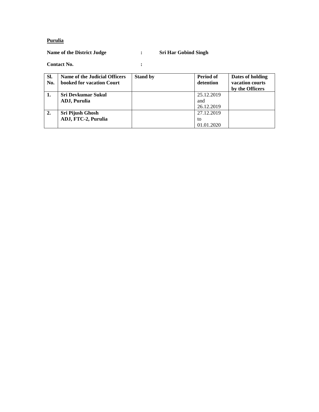### **Purulia**

## **Name of the District Judge : Sri Har Gobind Singh**

| SI.<br>No. | Name of the Judicial Officers<br>booked for vacation Court | <b>Stand by</b> | Period of<br>detention | Dates of holding<br>vacation courts<br>by the Officers |
|------------|------------------------------------------------------------|-----------------|------------------------|--------------------------------------------------------|
|            | <b>Sri Devkumar Sukul</b>                                  |                 | 25.12.2019             |                                                        |
|            | ADJ, Purulia                                               |                 | and                    |                                                        |
|            |                                                            |                 | 26.12.2019             |                                                        |
| 2.         | Sri Pijush Ghosh                                           |                 | 27.12.2019             |                                                        |
|            | ADJ, FTC-2, Purulia                                        |                 | to                     |                                                        |
|            |                                                            |                 | 01.01.2020             |                                                        |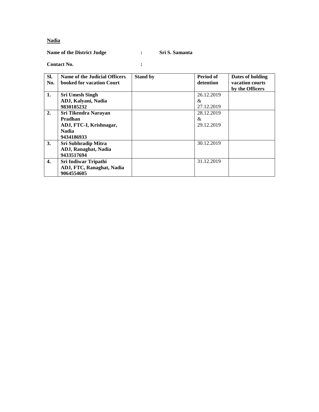#### **Nadia**

#### **Name of the District Judge : Sri S. Samanta**

#### **Contact No. :**

#### **Sl. No. Name of the Judicial Officers booked for vacation Court Stand by Period of detention Dates of holding vacation courts by the Officers 1. Sri Umesh Singh ADJ, Kalyani, Nadia 9830185232** 26.12.2019 & 27.12.2019 **2. Sri Tikendra Narayan Pradhan ADJ, FTC-I, Krishnagar, Nadia 9434186933** 28.12.2019 & 29.12.2019 **3. Sri Subhradip Mitra ADJ, Ranaghat, Nadia 9433517694** 30.12.2019 **4. Sri Indiwar Tripathi ADJ, FTC, Ranaghat, Nadia 9064554605** 31.12.2019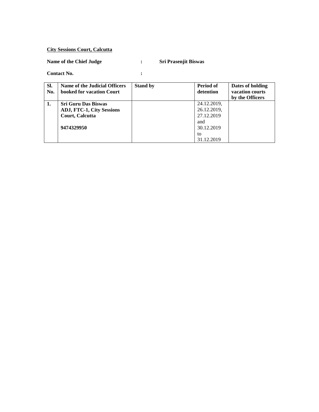## **City Sessions Court, Calcutta**

# **Name of the Chief Judge : Sri Prasenjit Biswas**

| SI.<br>No. | Name of the Judicial Officers<br>booked for vacation Court | <b>Stand by</b> | Period of<br>detention | Dates of holding<br>vacation courts<br>by the Officers |
|------------|------------------------------------------------------------|-----------------|------------------------|--------------------------------------------------------|
| 1.         | <b>Sri Guru Das Biswas</b>                                 |                 | 24.12.2019,            |                                                        |
|            | <b>ADJ, FTC-1, City Sessions</b>                           |                 | 26.12.2019,            |                                                        |
|            | Court, Calcutta                                            |                 | 27.12.2019             |                                                        |
|            |                                                            |                 | and                    |                                                        |
|            | 9474329950                                                 |                 | 30.12.2019             |                                                        |
|            |                                                            |                 | to                     |                                                        |
|            |                                                            |                 | 31.12.2019             |                                                        |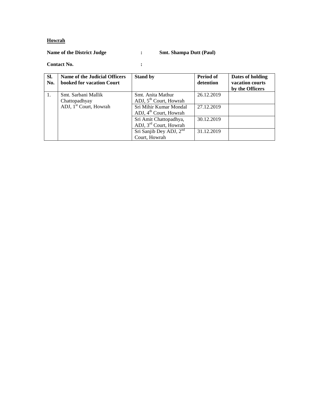### **Howrah**

### **Name of the District Judge : Smt. Shampa Dutt (Paul)**

| SI.<br>No. | Name of the Judicial Officers<br>booked for vacation Court | <b>Stand by</b>                                         | Period of<br>detention | Dates of holding<br>vacation courts<br>by the Officers |
|------------|------------------------------------------------------------|---------------------------------------------------------|------------------------|--------------------------------------------------------|
| 1.         | Smt. Sarbani Mallik                                        | Smt. Anita Mathur<br>ADJ, 5 <sup>th</sup> Court, Howrah | 26.12.2019             |                                                        |
|            | Chattopadhyay                                              |                                                         |                        |                                                        |
|            | ADJ, 1 <sup>st</sup> Court, Howrah                         | Sri Mihir Kumar Mondal                                  | 27.12.2019             |                                                        |
|            |                                                            | ADJ, 4 <sup>th</sup> Court, Howrah                      |                        |                                                        |
|            |                                                            | Sri Amit Chattopadhya,                                  | 30.12.2019             |                                                        |
|            |                                                            | ADJ, 3 <sup>rd</sup> Court, Howrah                      |                        |                                                        |
|            |                                                            | Sri Sanjib Dey ADJ, 2 <sup>nd</sup>                     | 31.12.2019             |                                                        |
|            |                                                            | Court, Howrah                                           |                        |                                                        |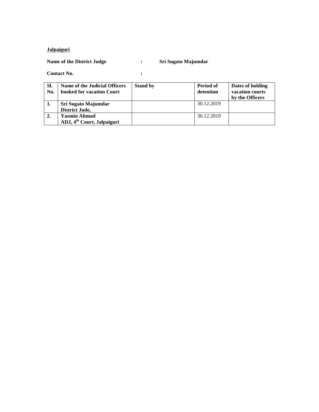## **Jalpaiguri**

## **Name of the District Judge : Sri Sugato Majumdar**

| SI.<br>No. | Name of the Judicial Officers<br>booked for vacation Court | <b>Stand by</b> | Period of<br>detention | Dates of holding<br>vacation courts<br>by the Officers |
|------------|------------------------------------------------------------|-----------------|------------------------|--------------------------------------------------------|
| ı.         | Sri Sugato Majumdar                                        |                 | 30.12.2019             |                                                        |
|            | District Jude,                                             |                 |                        |                                                        |
| 2.         | <b>Yasmin Ahmad</b>                                        |                 | 30.12.2019             |                                                        |
|            | ADJ, 4 <sup>th</sup> Court, Jalpaiguri                     |                 |                        |                                                        |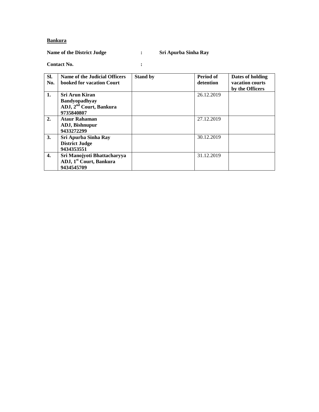### **Bankura**

## **Name of the District Judge : Sri Apurba Sinha Ray**

| SI.<br>No. | <b>Name of the Judicial Officers</b><br>booked for vacation Court | <b>Stand by</b> | Period of<br>detention | Dates of holding<br>vacation courts |
|------------|-------------------------------------------------------------------|-----------------|------------------------|-------------------------------------|
|            |                                                                   |                 |                        | by the Officers                     |
| 1.         | <b>Sri Arun Kiran</b>                                             |                 | 26.12.2019             |                                     |
|            | <b>Bandyopadhyay</b>                                              |                 |                        |                                     |
|            | ADJ, 2 <sup>nd</sup> Court, Bankura<br>9735840807                 |                 |                        |                                     |
| 2.         | <b>Ataur Rahaman</b>                                              |                 | 27.12.2019             |                                     |
|            | ADJ, Bishnupur                                                    |                 |                        |                                     |
|            | 9433272299                                                        |                 |                        |                                     |
| <b>3.</b>  | Sri Apurba Sinha Ray                                              |                 | 30.12.2019             |                                     |
|            | <b>District Judge</b>                                             |                 |                        |                                     |
|            | 9434353551                                                        |                 |                        |                                     |
| 4.         | Sri Manojyoti Bhattacharyya                                       |                 | 31.12.2019             |                                     |
|            | ADJ, 1 <sup>st</sup> Court, Bankura<br>9434545709                 |                 |                        |                                     |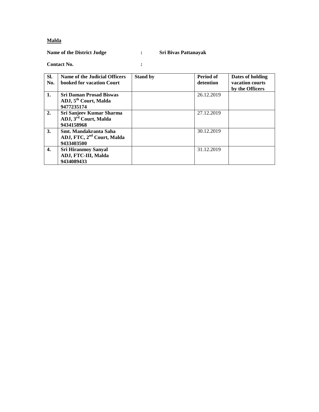### **Malda**

### **Name of the District Judge : Sri Bivas Pattanayak**

| SI.<br>No.   | Name of the Judicial Officers<br>booked for vacation Court                        | <b>Stand by</b> | Period of<br>detention | Dates of holding<br>vacation courts<br>by the Officers |
|--------------|-----------------------------------------------------------------------------------|-----------------|------------------------|--------------------------------------------------------|
| 1.           | <b>Sri Daman Prosad Biswas</b><br>ADJ, 5 <sup>th</sup> Court, Malda<br>9477235174 |                 | 26.12.2019             |                                                        |
| 2.           | Sri Sanjeev Kumar Sharma<br>ADJ, 3 <sup>rd</sup> Court, Malda<br>9434158968       |                 | 27.12.2019             |                                                        |
| 3.           | Smt. Mandakranta Saha<br>ADJ, FTC, 2 <sup>nd</sup> Court, Malda<br>9433403500     |                 | 30.12.2019             |                                                        |
| $\mathbf{4}$ | <b>Sri Hiranmoy Sanyal</b><br>ADJ, FTC-III, Malda<br>9434089433                   |                 | 31.12.2019             |                                                        |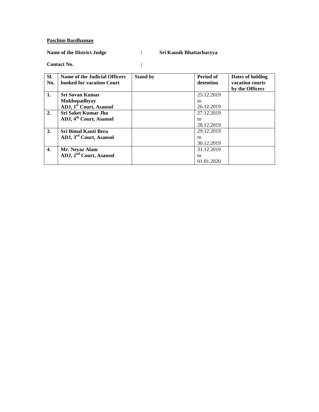#### **Paschim Bardhaman**

## **Name of the District Judge : Sri Kausik Bhattacharyya**

| SI.<br>No. | Name of the Judicial Officers<br>booked for vacation Court | <b>Stand by</b> | Period of<br>detention | Dates of holding<br>vacation courts<br>by the Officers |
|------------|------------------------------------------------------------|-----------------|------------------------|--------------------------------------------------------|
| 1.         | <b>Sri Sovan Kumar</b>                                     |                 | 25.12.2019             |                                                        |
|            | <b>Mukhopadhyay</b>                                        |                 | to                     |                                                        |
|            | ADJ, 1 <sup>st</sup> Court, Asansol                        |                 | 26.12.2019             |                                                        |
| 2.         | Sri Saket Kumar Jha                                        |                 | 27.12.2019             |                                                        |
|            | ADJ, 4 <sup>th</sup> Court, Asansol                        |                 | to                     |                                                        |
|            |                                                            |                 | 28.12.2019             |                                                        |
| <b>3.</b>  | Sri Bimal Kanti Bera                                       |                 | 29.12.2019             |                                                        |
|            | ADJ, 3 <sup>rd</sup> Court, Asansol                        |                 | to                     |                                                        |
|            |                                                            |                 | 30.12.2019             |                                                        |
| 4.         | Mr. Neyaz Alam                                             |                 | 31.12.2019             |                                                        |
|            | ADJ, 2 <sup>nd</sup> Court, Asansol                        |                 | to                     |                                                        |
|            |                                                            |                 | 01.01.2020             |                                                        |